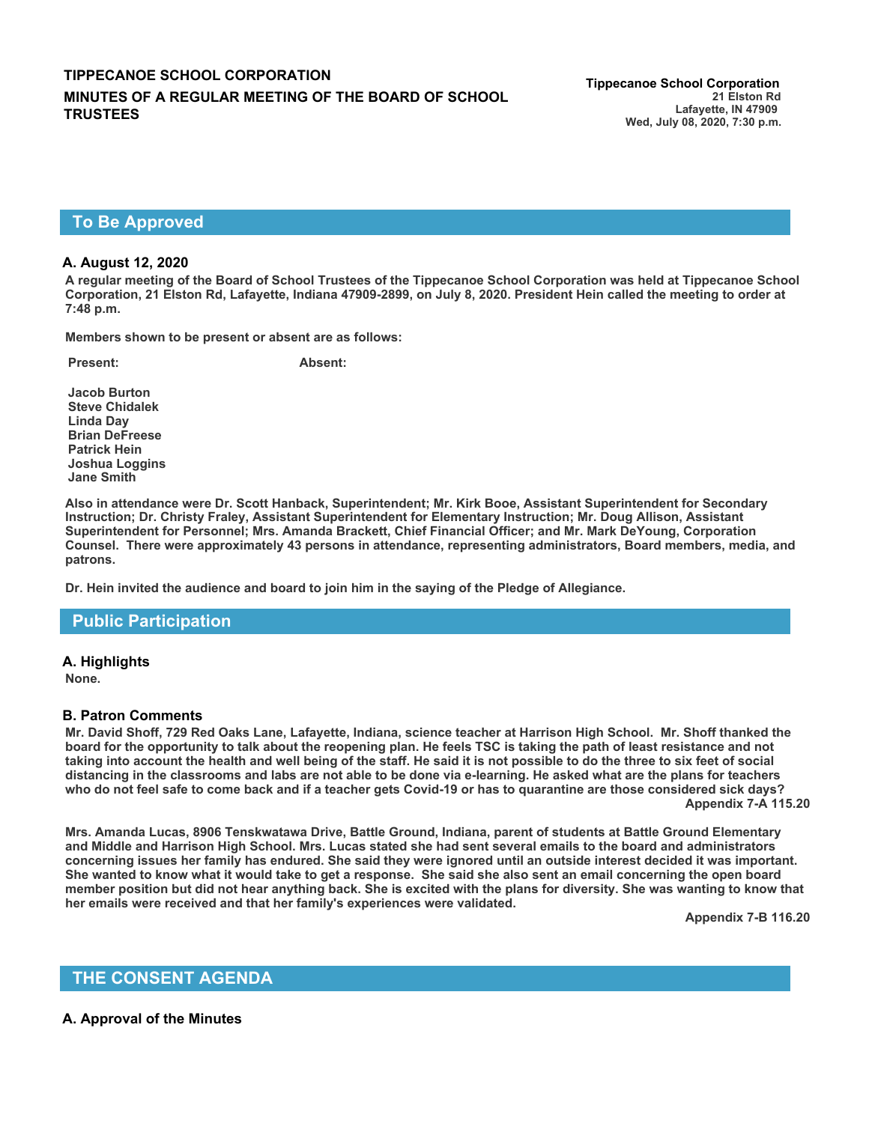# **To Be Approved**

### **A. August 12, 2020**

**A regular meeting of the Board of School Trustees of the Tippecanoe School Corporation was held at Tippecanoe School Corporation, 21 Elston Rd, Lafayette, Indiana 47909-2899, on July 8, 2020. President Hein called the meeting to order at 7:48 p.m.**

**Members shown to be present or absent are as follows:**

**Present: Absent:**

**Jacob Burton Steve Chidalek Linda Day Brian DeFreese Patrick Hein Joshua Loggins Jane Smith**

**Also in attendance were Dr. Scott Hanback, Superintendent; Mr. Kirk Booe, Assistant Superintendent for Secondary Instruction; Dr. Christy Fraley, Assistant Superintendent for Elementary Instruction; Mr. Doug Allison, Assistant Superintendent for Personnel; Mrs. Amanda Brackett, Chief Financial Officer; and Mr. Mark DeYoung, Corporation Counsel. There were approximately 43 persons in attendance, representing administrators, Board members, media, and patrons.**

**Dr. Hein invited the audience and board to join him in the saying of the Pledge of Allegiance.**

## **Public Participation**

**A. Highlights** 

**None.**

#### **B. Patron Comments**

**Mr. David Shoff, 729 Red Oaks Lane, Lafayette, Indiana, science teacher at Harrison High School. Mr. Shoff thanked the board for the opportunity to talk about the reopening plan. He feels TSC is taking the path of least resistance and not taking into account the health and well being of the staff. He said it is not possible to do the three to six feet of social distancing in the classrooms and labs are not able to be done via e-learning. He asked what are the plans for teachers who do not feel safe to come back and if a teacher gets Covid-19 or has to quarantine are those considered sick days? Appendix 7-A 115.20**

**Mrs. Amanda Lucas, 8906 Tenskwatawa Drive, Battle Ground, Indiana, parent of students at Battle Ground Elementary and Middle and Harrison High School. Mrs. Lucas stated she had sent several emails to the board and administrators concerning issues her family has endured. She said they were ignored until an outside interest decided it was important. She wanted to know what it would take to get a response. She said she also sent an email concerning the open board member position but did not hear anything back. She is excited with the plans for diversity. She was wanting to know that her emails were received and that her family's experiences were validated.**

**Appendix 7-B 116.20**

## **THE CONSENT AGENDA**

### **A. Approval of the Minutes**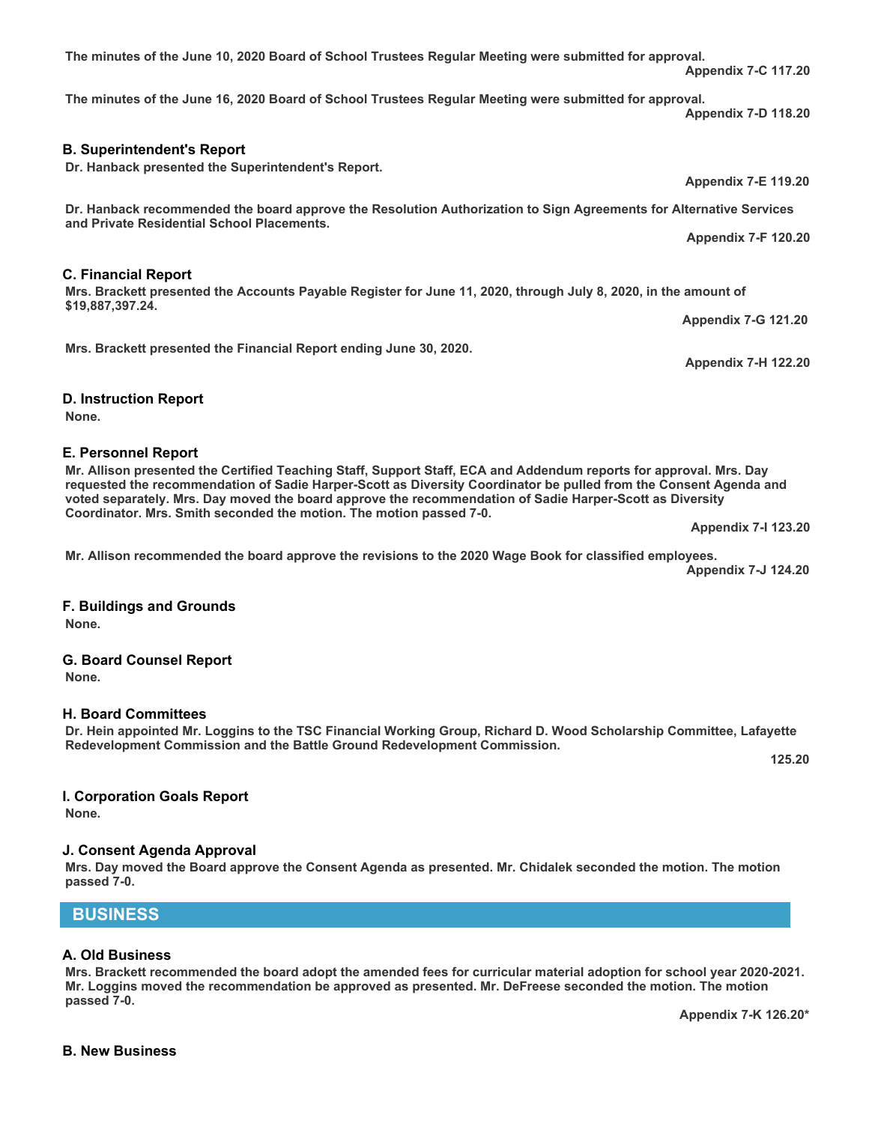# **The minutes of the June 16, 2020 Board of School Trustees Regular Meeting were submitted for approval.**

**The minutes of the June 10, 2020 Board of School Trustees Regular Meeting were submitted for approval.**

**B. Superintendent's Report** 

**Dr. Hanback presented the Superintendent's Report.** 

**Dr. Hanback recommended the board approve the Resolution Authorization to Sign Agreements for Alternative Services and Private Residential School Placements. Appendix 7-F 120.20**

**Mrs. Brackett presented the Accounts Payable Register for June 11, 2020, through July 8, 2020, in the amount of \$19,887,397.24.**

**Mrs. Brackett presented the Financial Report ending June 30, 2020.**

**D. Instruction Report** 

**C. Financial Report** 

**None.**

### **E. Personnel Report**

**Mr. Allison presented the Certified Teaching Staff, Support Staff, ECA and Addendum reports for approval. Mrs. Day requested the recommendation of Sadie Harper-Scott as Diversity Coordinator be pulled from the Consent Agenda and voted separately. Mrs. Day moved the board approve the recommendation of Sadie Harper-Scott as Diversity Coordinator. Mrs. Smith seconded the motion. The motion passed 7-0.**

**Mr. Allison recommended the board approve the revisions to the 2020 Wage Book for classified employees.**

**Appendix 7-J 124.20**

**F. Buildings and Grounds None.**

**G. Board Counsel Report** 

**None.**

**H. Board Committees** 

**Dr. Hein appointed Mr. Loggins to the TSC Financial Working Group, Richard D. Wood Scholarship Committee, Lafayette Redevelopment Commission and the Battle Ground Redevelopment Commission.** 

**I. Corporation Goals Report** 

**None.**

**J. Consent Agenda Approval** 

**Mrs. Day moved the Board approve the Consent Agenda as presented. Mr. Chidalek seconded the motion. The motion passed 7-0.**

**BUSINESS**

### **A. Old Business**

**Mrs. Brackett recommended the board adopt the amended fees for curricular material adoption for school year 2020-2021. Mr. Loggins moved the recommendation be approved as presented. Mr. DeFreese seconded the motion. The motion passed 7-0.** 

**Appendix 7-G 121.20**

**Appendix 7-H 122.20**

**Appendix 7-I 123.20**

**125.20**

**Appendix 7-E 119.20**

**Appendix 7-C 117.20**

**Appendix 7-D 118.20**